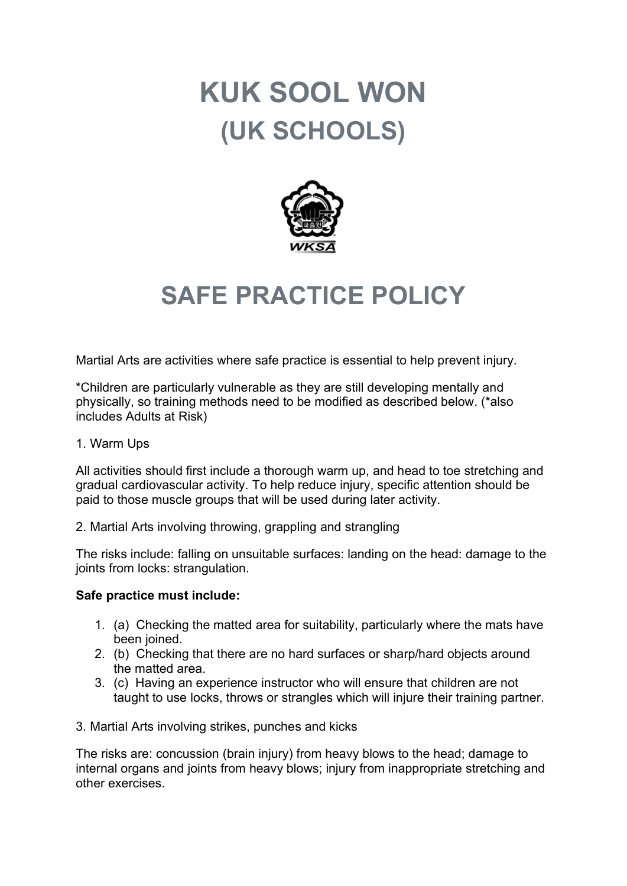# KUK SOOL WON (UK SCHOOLS)



# SAFE PRACTICE POLICY

Martial Arts are activities where safe practice is essential to help prevent injury.

\*Children are particularly vulnerable as they are still developing mentally and physically, so training methods need to be modified as described below. (\*also includes Adults at Risk)

#### 1. Warm Ups

All activities should first include a thorough warm up, and head to toe stretching and gradual cardiovascular activity. To help reduce injury, specific attention should be paid to those muscle groups that will be used during later activity.

2. Martial Arts involving throwing, grappling and strangling

The risks include: falling on unsuitable surfaces: landing on the head: damage to the joints from locks: strangulation.

#### Safe practice must include:

- 1. (a) Checking the matted area for suitability, particularly where the mats have been joined.
- 2. (b) Checking that there are no hard surfaces or sharp/hard objects around the matted area.
- 3. (c) Having an experience instructor who will ensure that children are not taught to use locks, throws or strangles which will injure their training partner.

3. Martial Arts involving strikes, punches and kicks

The risks are: concussion (brain injury) from heavy blows to the head; damage to internal organs and joints from heavy blows; injury from inappropriate stretching and other exercises.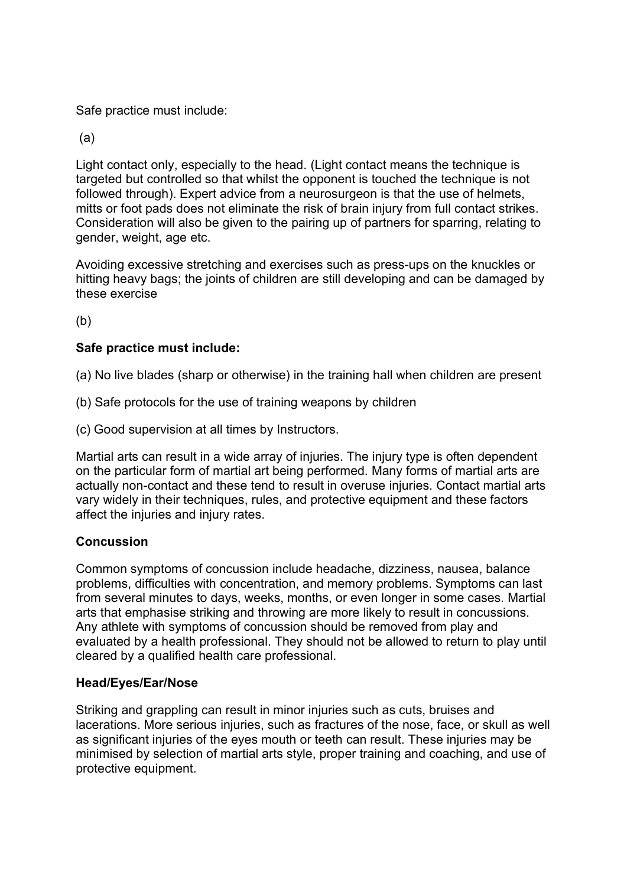Safe practice must include:

(a)

Light contact only, especially to the head. (Light contact means the technique is targeted but controlled so that whilst the opponent is touched the technique is not followed through). Expert advice from a neurosurgeon is that the use of helmets, mitts or foot pads does not eliminate the risk of brain injury from full contact strikes. Consideration will also be given to the pairing up of partners for sparring, relating to gender, weight, age etc.

Avoiding excessive stretching and exercises such as press-ups on the knuckles or hitting heavy bags; the joints of children are still developing and can be damaged by these exercise

 $(b)$ 

## Safe practice must include:

(a) No live blades (sharp or otherwise) in the training hall when children are present

- (b) Safe protocols for the use of training weapons by children
- (c) Good supervision at all times by Instructors.

Martial arts can result in a wide array of injuries. The injury type is often dependent on the particular form of martial art being performed. Many forms of martial arts are actually non-contact and these tend to result in overuse injuries. Contact martial arts vary widely in their techniques, rules, and protective equipment and these factors affect the injuries and injury rates.

#### **Concussion**

Common symptoms of concussion include headache, dizziness, nausea, balance problems, difficulties with concentration, and memory problems. Symptoms can last from several minutes to days, weeks, months, or even longer in some cases. Martial arts that emphasise striking and throwing are more likely to result in concussions. Any athlete with symptoms of concussion should be removed from play and evaluated by a health professional. They should not be allowed to return to play until cleared by a qualified health care professional.

#### Head/Eyes/Ear/Nose

Striking and grappling can result in minor injuries such as cuts, bruises and lacerations. More serious injuries, such as fractures of the nose, face, or skull as well as significant injuries of the eyes mouth or teeth can result. These injuries may be minimised by selection of martial arts style, proper training and coaching, and use of protective equipment.